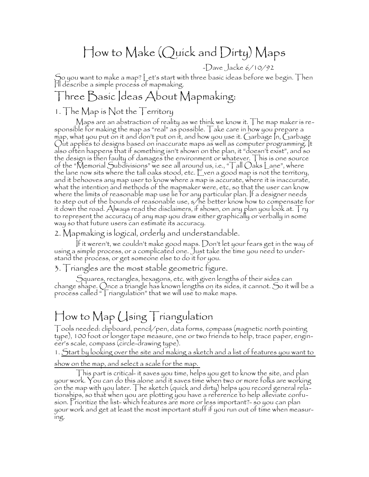# How to Make (Quick and Dirty) Maps

-Dave Jacke 6/10/92

So you want to make a map? Let's start with three basic ideas before we begin. Then I'll describe a simple process of mapmaking.

## Three Basic Ideas About Mapmaking:

## 1. The Map is Not the Territory

Maps are an abstraction of reality as we think we know it. The map maker is responsible for making the map as "real" as possible. Take care in how you prepare a  $m$ ap, what you put on it and don't put on it, and how you use it. Garbage  $n$ , Garbage Out applies to designs based on inaccurate maps as well as computer programming. It also often happens that if something isn't shown on the plan, it "doesn't exist", and so the design is then faulty of damages the environment or whatever. This is one source of the "Memorial Subdivisions" we see all around us, i.e., "Tall Oaks Lane", where the lane now sits where the tall oaks stood, etc. Even a good map is not the territory, and it behooves any map user to know where a map is accurate, where it is inaccurate, what the intention and methods of the mapmaker were, etc, so that the user can know where the limits of reasonable map use lie for any particular plan. If a designer needs to step out of the bounds of reasonable use, s/he better know how to compensate for it down the road. Always read the disclaimers, if shown, on any plan you look at.  ${\sf Tr}$ y to represent the accuracy of any map you draw either graphically or verbally in some way so that future users can estimate its accuracy.

2. Mapmaking is logical, orderly and understandable.

If it weren't, we couldn't make good maps. Don't let your fears get in the way of using a simple process, or a complicated one. Just take the time you need to understand the process, or get someone else to do it for you.

3. Triangles are the most stable geometric figure.

Squares, rectangles, hexagons, etc. with given lengths of their sides can change shape. Once a triangle has known lengths on its sides, it cannot. So it will be a process called "Triangulation" that we will use to make maps.

# How to Map Using Triangulation

Tools needed: clipboard, pencil/pen, data forms, compass (magnetic north pointing type), 100 foot or longer tape measure, one or two friends to help, trace paper, engineer's scale, compass (circle-drawing type).

1. Start by looking over the site and making a sketch and a list of features you want to

show on the map, and select a scale for the map.

This part is critical- it saves you time, helps you get to know the site, and plan your work. You can do this alone and it saves time when two or more folks are working on the map with you later. The sketch (quick and dirty) helps you record general relationships, so that when you are plotting you have a reference to help alleviate confusion. Prioritize the list- which features are more or less important?- so you can plan your work and get at least the most important stuff if you run out of time when measuring.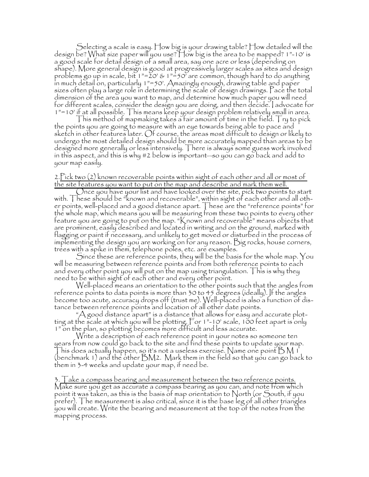Selecting a scale is easy. How big is your drawing table? How detailed will the design be? What size paper will you use? How big is the area to be mapped? 1"-10' is a good scale for detail design of a small area, say one acre or less (depending on shape). More general design is good at progressively larger scales as sites and design problems go up in scale, bit  $1" = 20' \& 1" = 50'$  are common, though hard to do anything in much detail on, particularly 1"=50'. Amazingly enough, drawing table and paper sizes often play a large role in determining the scale of design drawings. Pace the total dimension of the area you want to map, and determine how much paper you will need for different scales, consider the design you are doing, and then decide. I advocate for 1"=10' if at all possible. This means keep your design problem relatively small in area.

This method of mapmaking takes a fair amount of time in the field. Try to pick  $\overline{ }$ the points you are going to measure with an eye towards being able to pace and sketch in other features later. Of course, the areas most difficult to design or likely to undergo the most detailed design should be more accurately mapped than areas to be designed more generally or less intensively. There is always some guess work involved in this aspect, and this is why #2 below is important—so you can go back and add to your map easily.

#### 2.Pick two (2) known recoverable points within sight of each other and all or most of the site features you want to put on the map and describe and mark them well.

 $\bigcirc$ nce you have your list and have looked over the site, pick two points to start with. These should be "known and recoverable", within sight of each other and all other points, well-placed and a good distance apart. These are the "reference points" for the whole map, which means you will be measuring from these two points to every other feature you are going to put on the map. "Known and recoverable" means objects that are prominent, easily described and located in writing and on the ground, marked with flagging or paint if necessary, and unlikely to get moved or disturbed in the process of implementing the design you are working on for any reason. Big rocks, house corners, trees with a spike in them, telephone poles, etc. are examples.

Since these are reference points, they will be the basis for the whole map. You will be measuring between reference points and from both reference points to each and every other point you will put on the map using triangulation. This is why they need to be within sight of each other and every other point.

Well-placed means an orientation to the other points such that the angles from reference points to data points is more than 30 to 45 degrees (ideally). If the angles become too acute, accuracy drops off (trust me). Well-placed is also a function of distance between reference points and location of all other date points.

" $\bigwedge$  good distance apart" is a distance that allows for easy and accurate plotting at the scale at which you will be plotting. For 1"-10' scale, 100 feet apart is only 1" on the plan, so plotting becomes more difficult and less accurate.

Write a description of each reference point in your notes so someone ten years from now could go back to the site and find these points to update your map. his does actually happen, so it's not a useless exercise. Name one point  $BM$  i (benchmark 1) and the other  $BM2$ . Mark them in the field so that you can go back to them in 3-4 weeks and update your map, if need be.

3. Take a compass bearing and measurement between the two reference points. Make sure you get as accurate a compass bearing as you can, and note from which point it was taken, as this is the basis of map orientation to North (or South, if you prefer). The measurement is also critical, since it is the base leg of all other triangles you will create. Write the bearing and measurement at the top of the notes from the mapping process.